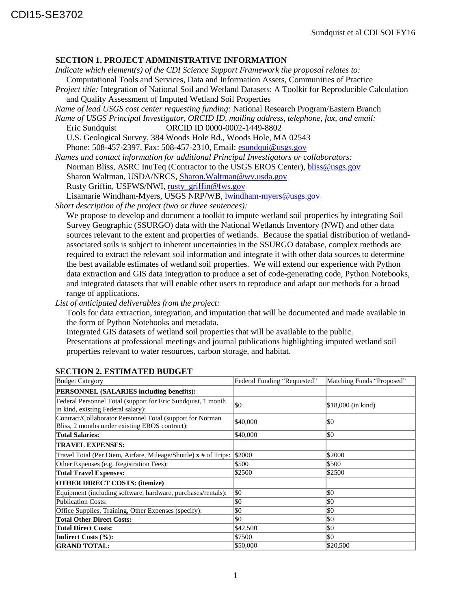## **SECTION 1. PROJECT ADMINISTRATIVE INFORMATION**

*Indicate which element(s) of the CDI Science Support Framework the proposal relates to:* Computational Tools and Services, Data and Information Assets, Communities of Practice

*Project title:* Integration of National Soil and Wetland Datasets: A Toolkit for Reproducible Calculation and Quality Assessment of Imputed Wetland Soil Properties

*Name of lead USGS cost center requesting funding:* National Research Program/Eastern Branch

*Name of USGS Principal Investigator, ORCID ID, mailing address, telephone, fax, and email:* Eric Sundquist ORCID ID 0000-0002-1449-8802

U.S. Geological Survey, 384 Woods Hole Rd., Woods Hole, MA 02543 Phone: 508-457-2397, Fax: 508-457-2310, Email[: esundqui@usgs.gov](mailto:esundqui@usgs.gov)

*Names and contact information for additional Principal Investigators or collaborators:* Norman Bliss, ASRC InuTeq (Contractor to the USGS EROS Center), [bliss@usgs.gov](mailto:bliss@usgs.gov) Sharon Waltman, USDA/NRCS, [Sharon.Waltman@wv.usda.gov](mailto:Sharon.Waltman@wv.usda.gov) Rusty Griffin, USFWS/NWI, [rusty\\_griffin@fws.gov](mailto:rusty_griffin@fws.gov) Lisamarie Windham-Myers, USGS NRP/WB, [lwindham-myers@usgs.gov](mailto:lwindham-myers@usgs.gov)

*Short description of the project (two or three sentences):*

We propose to develop and document a toolkit to impute wetland soil properties by integrating Soil Survey Geographic (SSURGO) data with the National Wetlands Inventory (NWI) and other data sources relevant to the extent and properties of wetlands. Because the spatial distribution of wetlandassociated soils is subject to inherent uncertainties in the SSURGO database, complex methods are required to extract the relevant soil information and integrate it with other data sources to determine the best available estimates of wetland soil properties. We will extend our experience with Python data extraction and GIS data integration to produce a set of code-generating code, Python Notebooks, and integrated datasets that will enable other users to reproduce and adapt our methods for a broad range of applications.

*List of anticipated deliverables from the project:*

Tools for data extraction, integration, and imputation that will be documented and made available in the form of Python Notebooks and metadata.

Integrated GIS datasets of wetland soil properties that will be available to the public.

Presentations at professional meetings and journal publications highlighting imputed wetland soil properties relevant to water resources, carbon storage, and habitat.

| <b>Budget Category</b>                                                                                      | Federal Funding "Requested" | Matching Funds "Proposed" |
|-------------------------------------------------------------------------------------------------------------|-----------------------------|---------------------------|
| <b>PERSONNEL (SALARIES including benefits):</b>                                                             |                             |                           |
| Federal Personnel Total (support for Eric Sundquist, 1 month<br>in kind, existing Federal salary):          | \$0                         | \$18,000 (in kind)        |
| Contract/Collaborator Personnel Total (support for Norman<br>Bliss, 2 months under existing EROS contract): | \$40,000                    | \$0                       |
| <b>Total Salaries:</b>                                                                                      | \$40,000                    | \$0                       |
| <b>TRAVEL EXPENSES:</b>                                                                                     |                             |                           |
| Travel Total (Per Diem, Airfare, Mileage/Shuttle) x # of Trips: \\$2000                                     |                             | \$2000                    |
| Other Expenses (e.g. Registration Fees):                                                                    | \$500                       | \$500                     |
| <b>Total Travel Expenses:</b>                                                                               | \$2500                      | \$2500                    |
| <b>OTHER DIRECT COSTS: (itemize)</b>                                                                        |                             |                           |
| Equipment (including software, hardware, purchases/rentals):                                                | \$0                         | \$0                       |
| Publication Costs:                                                                                          | \$0                         | \$0                       |
| Office Supplies, Training, Other Expenses (specify):                                                        | \$0                         | \$0                       |
| <b>Total Other Direct Costs:</b>                                                                            | \$0                         | \$0                       |
| <b>Total Direct Costs:</b>                                                                                  | \$42,500                    | \$0                       |
| Indirect Costs (%):                                                                                         | \$7500                      | \$0                       |
| <b>GRAND TOTAL:</b>                                                                                         | \$50,000                    | \$20,500                  |

## **SECTION 2. ESTIMATED BUDGET**